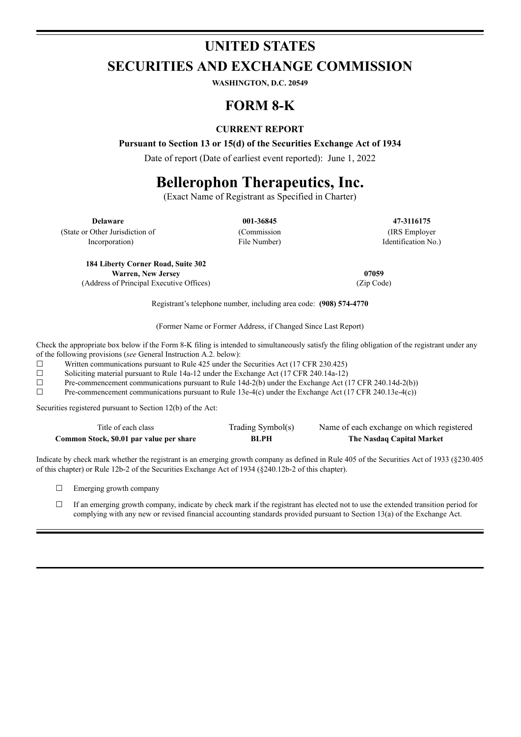# **UNITED STATES SECURITIES AND EXCHANGE COMMISSION**

**WASHINGTON, D.C. 20549**

## **FORM 8-K**

### **CURRENT REPORT**

**Pursuant to Section 13 or 15(d) of the Securities Exchange Act of 1934**

Date of report (Date of earliest event reported): June 1, 2022

# **Bellerophon Therapeutics, Inc.**

(Exact Name of Registrant as Specified in Charter)

(State or Other Jurisdiction of

Incorporation)

(Commission File Number)

**Delaware 001-36845 47-3116175** (IRS Employer Identification No.)

**184 Liberty Corner Road, Suite 302 Warren, New Jersey 07059**

(Address of Principal Executive Offices) (Zip Code)

Registrant's telephone number, including area code: **(908) 574-4770**

(Former Name or Former Address, if Changed Since Last Report)

Check the appropriate box below if the Form 8-K filing is intended to simultaneously satisfy the filing obligation of the registrant under any of the following provisions (*see* General Instruction A.2. below):

 $\Box$  Written communications pursuant to Rule 425 under the Securities Act (17 CFR 230.425)

 $\Box$  Soliciting material pursuant to Rule 14a-12 under the Exchange Act (17 CFR 240.14a-12)

 $\Box$  Pre-commencement communications pursuant to Rule 14d-2(b) under the Exchange Act (17 CFR 240.14d-2(b))

 $\Box$  Pre-commencement communications pursuant to Rule 13e-4(c) under the Exchange Act (17 CFR 240.13e-4(c))

Securities registered pursuant to Section 12(b) of the Act:

| Title of each class                      | Trading Symbol(s) | Name of each exchange on which registered |
|------------------------------------------|-------------------|-------------------------------------------|
| Common Stock, \$0.01 par value per share | BLPH              | The Nasdaq Capital Market                 |

Indicate by check mark whether the registrant is an emerging growth company as defined in Rule 405 of the Securities Act of 1933 (§230.405 of this chapter) or Rule 12b-2 of the Securities Exchange Act of 1934 (§240.12b-2 of this chapter).

□ Emerging growth company

 $\Box$  If an emerging growth company, indicate by check mark if the registrant has elected not to use the extended transition period for complying with any new or revised financial accounting standards provided pursuant to Section 13(a) of the Exchange Act.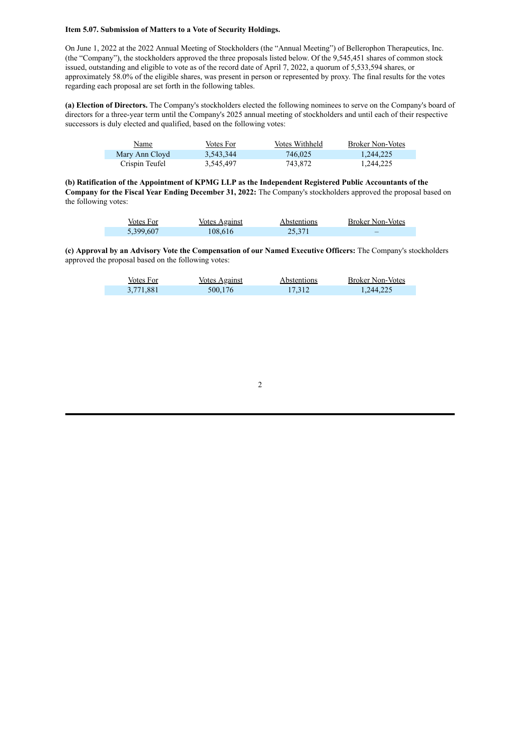#### **Item 5.07. Submission of Matters to a Vote of Security Holdings.**

On June 1, 2022 at the 2022 Annual Meeting of Stockholders (the "Annual Meeting") of Bellerophon Therapeutics, Inc. (the "Company"), the stockholders approved the three proposals listed below. Of the 9,545,451 shares of common stock issued, outstanding and eligible to vote as of the record date of April 7, 2022, a quorum of 5,533,594 shares, or approximately 58.0% of the eligible shares, was present in person or represented by proxy. The final results for the votes regarding each proposal are set forth in the following tables.

**(a) Election of Directors.** The Company's stockholders elected the following nominees to serve on the Company's board of directors for a three-year term until the Company's 2025 annual meeting of stockholders and until each of their respective successors is duly elected and qualified, based on the following votes:

| Name           | Votes For | Votes Withheld | <b>Broker Non-Votes</b> |
|----------------|-----------|----------------|-------------------------|
| Mary Ann Cloyd | 3,543,344 | 746.025        | 1.244.225               |
| Crispin Teufel | 3,545,497 | 743.872        | 1,244,225               |

**(b) Ratification of the Appointment of KPMG LLP as the Independent Registered Public Accountants of the Company for the Fiscal Year Ending December 31, 2022:** The Company's stockholders approved the proposal based on the following votes:

| Votes For | Votes Against | Abstentions | <b>Broker Non-Votes</b> |
|-----------|---------------|-------------|-------------------------|
| 5,399,607 | 108.616       | 25.371      | -                       |

**(c) Approval by an Advisory Vote the Compensation of our Named Executive Officers:** The Company's stockholders approved the proposal based on the following votes:

| Votes For | <b>Votes Against</b> | <i>Abstentions</i> | <b>Broker Non-Votes</b> |
|-----------|----------------------|--------------------|-------------------------|
| 3,771,881 | 500,176              | 17,312             | 1,244,225               |